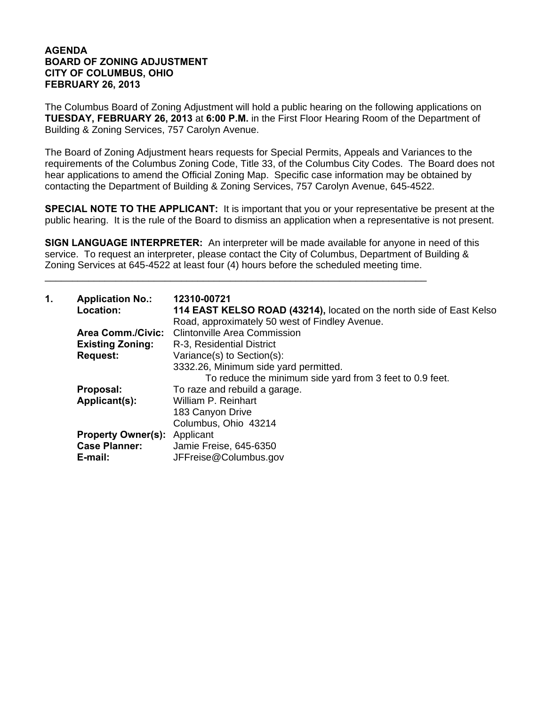## **AGENDA BOARD OF ZONING ADJUSTMENT CITY OF COLUMBUS, OHIO FEBRUARY 26, 2013**

The Columbus Board of Zoning Adjustment will hold a public hearing on the following applications on **TUESDAY, FEBRUARY 26, 2013** at **6:00 P.M.** in the First Floor Hearing Room of the Department of Building & Zoning Services, 757 Carolyn Avenue.

The Board of Zoning Adjustment hears requests for Special Permits, Appeals and Variances to the requirements of the Columbus Zoning Code, Title 33, of the Columbus City Codes. The Board does not hear applications to amend the Official Zoning Map. Specific case information may be obtained by contacting the Department of Building & Zoning Services, 757 Carolyn Avenue, 645-4522.

**SPECIAL NOTE TO THE APPLICANT:** It is important that you or your representative be present at the public hearing. It is the rule of the Board to dismiss an application when a representative is not present.

**SIGN LANGUAGE INTERPRETER:** An interpreter will be made available for anyone in need of this service. To request an interpreter, please contact the City of Columbus, Department of Building & Zoning Services at 645-4522 at least four (4) hours before the scheduled meeting time.

\_\_\_\_\_\_\_\_\_\_\_\_\_\_\_\_\_\_\_\_\_\_\_\_\_\_\_\_\_\_\_\_\_\_\_\_\_\_\_\_\_\_\_\_\_\_\_\_\_\_\_\_\_\_\_\_\_\_\_\_\_\_\_\_\_\_\_\_\_\_

| $\mathbf 1$ . | <b>Application No.:</b><br>Location: | 12310-00721<br>114 EAST KELSO ROAD (43214), located on the north side of East Kelso<br>Road, approximately 50 west of Findley Avenue. |
|---------------|--------------------------------------|---------------------------------------------------------------------------------------------------------------------------------------|
|               | <b>Area Comm./Civic:</b>             | <b>Clintonville Area Commission</b>                                                                                                   |
|               | <b>Existing Zoning:</b>              | R-3, Residential District                                                                                                             |
|               | <b>Request:</b>                      | Variance(s) to Section(s):                                                                                                            |
|               |                                      | 3332.26, Minimum side yard permitted.                                                                                                 |
|               |                                      | To reduce the minimum side yard from 3 feet to 0.9 feet.                                                                              |
|               | Proposal:                            | To raze and rebuild a garage.                                                                                                         |
|               | Applicant(s):                        | William P. Reinhart                                                                                                                   |
|               |                                      | 183 Canyon Drive                                                                                                                      |
|               |                                      | Columbus, Ohio 43214                                                                                                                  |
|               | <b>Property Owner(s):</b>            | Applicant                                                                                                                             |
|               | <b>Case Planner:</b>                 | Jamie Freise, 645-6350                                                                                                                |
|               | E-mail:                              | JFFreise@Columbus.gov                                                                                                                 |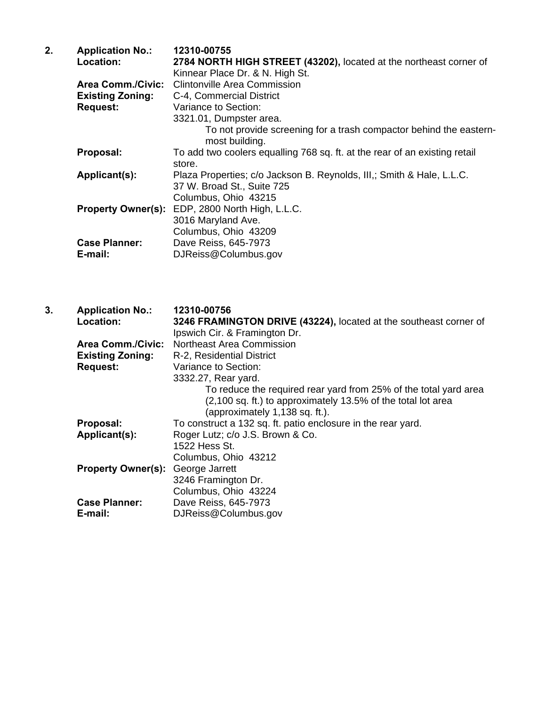| <b>Application No.:</b>  | 12310-00755                                                                          |
|--------------------------|--------------------------------------------------------------------------------------|
| Location:                | 2784 NORTH HIGH STREET (43202), located at the northeast corner of                   |
|                          | Kinnear Place Dr. & N. High St.                                                      |
| <b>Area Comm./Civic:</b> | Clintonville Area Commission                                                         |
| <b>Existing Zoning:</b>  | C-4, Commercial District                                                             |
| <b>Request:</b>          | Variance to Section:                                                                 |
|                          | 3321.01, Dumpster area.                                                              |
|                          | To not provide screening for a trash compactor behind the eastern-<br>most building. |
| Proposal:                | To add two coolers equalling 768 sq. ft. at the rear of an existing retail           |
|                          | store.                                                                               |
| Applicant(s):            | Plaza Properties; c/o Jackson B. Reynolds, III,; Smith & Hale, L.L.C.                |
|                          | 37 W. Broad St., Suite 725                                                           |
|                          | Columbus, Ohio 43215                                                                 |
|                          | Property Owner(s): EDP, 2800 North High, L.L.C.                                      |
|                          | 3016 Maryland Ave.                                                                   |
|                          | Columbus, Ohio 43209                                                                 |
| <b>Case Planner:</b>     | Dave Reiss, 645-7973                                                                 |
| E-mail:                  | DJReiss@Columbus.gov                                                                 |
|                          |                                                                                      |

**3. Application No.: 12310-00756 Location: 3246 FRAMINGTON DRIVE (43224),** located at the southeast corner of Ipswich Cir. & Framington Dr. **Area Comm./Civic:** Northeast Area Commission<br>**Existing Zoning:** R-2, Residential District  **Existing Zoning:** R-2, Residential District **Request:** Variance to Section: 3332.27, Rear yard. To reduce the required rear yard from 25% of the total yard area (2,100 sq. ft.) to approximately 13.5% of the total lot area (approximately 1,138 sq. ft.). **Proposal:** To construct a 132 sq. ft. patio enclosure in the rear yard. **Applicant(s):** Roger Lutz; c/o J.S. Brown & Co. 1522 Hess St. Columbus, Ohio 43212 **Property Owner(s):** George Jarrett 3246 Framington Dr. Columbus, Ohio 43224<br>Case Planner: Dave Reiss. 645-7973 **Case Planner:** Dave Reiss, 645-7973<br> **E-mail:** DJReiss@Columbus.q **E-mail:** DJReiss@Columbus.gov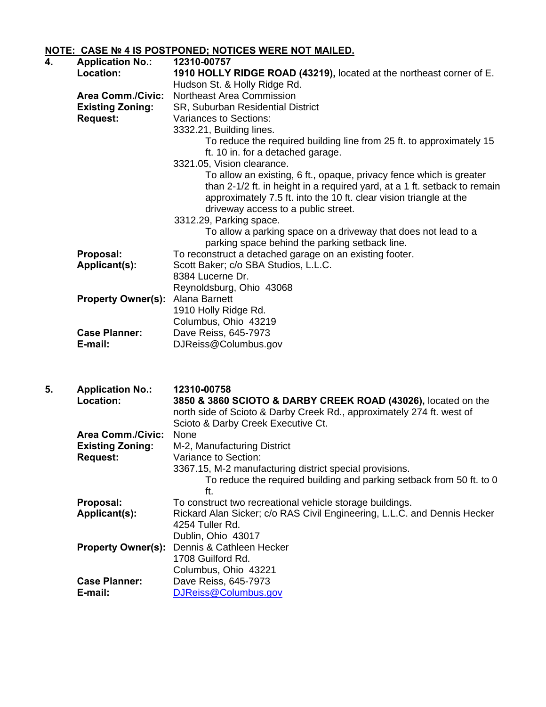## **NOTE: CASE № 4 IS POSTPONED; NOTICES WERE NOT MAILED.**

| 4. | <b>Application No.:</b>   | 12310-00757                                                               |
|----|---------------------------|---------------------------------------------------------------------------|
|    | Location:                 | 1910 HOLLY RIDGE ROAD (43219), located at the northeast corner of E.      |
|    |                           | Hudson St. & Holly Ridge Rd.                                              |
|    | <b>Area Comm./Civic:</b>  | Northeast Area Commission                                                 |
|    | <b>Existing Zoning:</b>   | SR, Suburban Residential District                                         |
|    | <b>Request:</b>           | Variances to Sections:                                                    |
|    |                           | 3332.21, Building lines.                                                  |
|    |                           | To reduce the required building line from 25 ft. to approximately 15      |
|    |                           | ft. 10 in. for a detached garage.                                         |
|    |                           | 3321.05, Vision clearance.                                                |
|    |                           | To allow an existing, 6 ft., opaque, privacy fence which is greater       |
|    |                           | than 2-1/2 ft. in height in a required yard, at a 1 ft. setback to remain |
|    |                           | approximately 7.5 ft. into the 10 ft. clear vision triangle at the        |
|    |                           | driveway access to a public street.                                       |
|    |                           | 3312.29, Parking space.                                                   |
|    |                           | To allow a parking space on a driveway that does not lead to a            |
|    |                           | parking space behind the parking setback line.                            |
|    | Proposal:                 | To reconstruct a detached garage on an existing footer.                   |
|    | Applicant(s):             | Scott Baker; c/o SBA Studios, L.L.C.                                      |
|    |                           | 8384 Lucerne Dr.                                                          |
|    |                           | Reynoldsburg, Ohio 43068                                                  |
|    | <b>Property Owner(s):</b> | Alana Barnett                                                             |
|    |                           | 1910 Holly Ridge Rd.                                                      |
|    |                           | Columbus, Ohio 43219                                                      |
|    | <b>Case Planner:</b>      | Dave Reiss, 645-7973                                                      |
|    | E-mail:                   | DJReiss@Columbus.gov                                                      |
|    |                           |                                                                           |

| 5. | <b>Application No.:</b>   | 12310-00758                                                              |
|----|---------------------------|--------------------------------------------------------------------------|
|    | <b>Location:</b>          | 3850 & 3860 SCIOTO & DARBY CREEK ROAD (43026), located on the            |
|    |                           | north side of Scioto & Darby Creek Rd., approximately 274 ft. west of    |
|    |                           | Scioto & Darby Creek Executive Ct.                                       |
|    | <b>Area Comm./Civic:</b>  | None                                                                     |
|    | <b>Existing Zoning:</b>   | M-2, Manufacturing District                                              |
|    | <b>Request:</b>           | Variance to Section:                                                     |
|    |                           | 3367.15, M-2 manufacturing district special provisions.                  |
|    |                           | To reduce the required building and parking setback from 50 ft. to 0     |
|    |                           | ft.                                                                      |
|    | Proposal:                 | To construct two recreational vehicle storage buildings.                 |
|    | Applicant(s):             | Rickard Alan Sicker; c/o RAS Civil Engineering, L.L.C. and Dennis Hecker |
|    |                           | 4254 Tuller Rd.                                                          |
|    |                           | Dublin, Ohio 43017                                                       |
|    | <b>Property Owner(s):</b> | Dennis & Cathleen Hecker                                                 |
|    |                           | 1708 Guilford Rd.                                                        |
|    |                           | Columbus, Ohio 43221                                                     |
|    | <b>Case Planner:</b>      | Dave Reiss, 645-7973                                                     |
|    | E-mail:                   | DJReiss@Columbus.gov                                                     |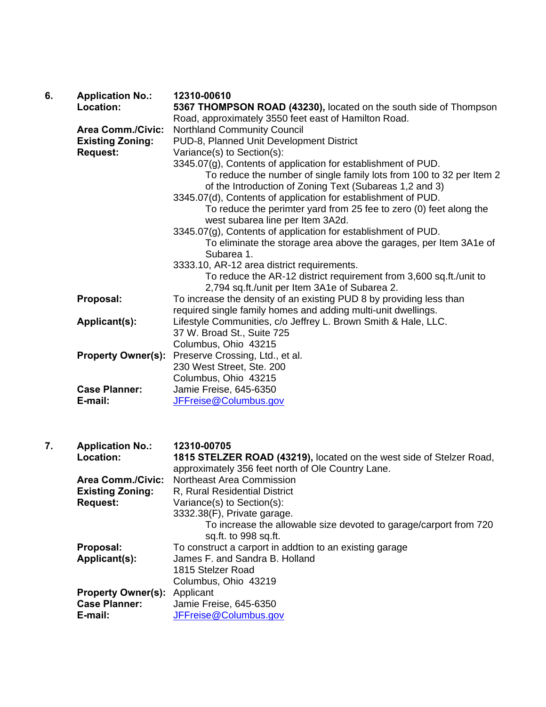| 6. | <b>Application No.:</b>   | 12310-00610                                                                                                                                                             |
|----|---------------------------|-------------------------------------------------------------------------------------------------------------------------------------------------------------------------|
|    | Location:                 | 5367 THOMPSON ROAD (43230), located on the south side of Thompson                                                                                                       |
|    |                           | Road, approximately 3550 feet east of Hamilton Road.                                                                                                                    |
|    | <b>Area Comm./Civic:</b>  | <b>Northland Community Council</b>                                                                                                                                      |
|    | <b>Existing Zoning:</b>   | PUD-8, Planned Unit Development District                                                                                                                                |
|    | <b>Request:</b>           | Variance(s) to Section(s):<br>3345.07(g), Contents of application for establishment of PUD.                                                                             |
|    |                           | To reduce the number of single family lots from 100 to 32 per Item 2<br>of the Introduction of Zoning Text (Subareas 1,2 and 3)                                         |
|    |                           | 3345.07(d), Contents of application for establishment of PUD.<br>To reduce the perimter yard from 25 fee to zero (0) feet along the<br>west subarea line per Item 3A2d. |
|    |                           | 3345.07(g), Contents of application for establishment of PUD.                                                                                                           |
|    |                           | To eliminate the storage area above the garages, per Item 3A1e of<br>Subarea 1.                                                                                         |
|    |                           | 3333.10, AR-12 area district requirements.                                                                                                                              |
|    |                           | To reduce the AR-12 district requirement from 3,600 sq.ft./unit to<br>2,794 sq.ft./unit per Item 3A1e of Subarea 2.                                                     |
|    | Proposal:                 | To increase the density of an existing PUD 8 by providing less than                                                                                                     |
|    |                           | required single family homes and adding multi-unit dwellings.                                                                                                           |
|    | Applicant(s):             | Lifestyle Communities, c/o Jeffrey L. Brown Smith & Hale, LLC.                                                                                                          |
|    |                           | 37 W. Broad St., Suite 725                                                                                                                                              |
|    |                           | Columbus, Ohio 43215                                                                                                                                                    |
|    | <b>Property Owner(s):</b> | Preserve Crossing, Ltd., et al.                                                                                                                                         |
|    |                           | 230 West Street, Ste. 200                                                                                                                                               |
|    |                           | Columbus, Ohio 43215                                                                                                                                                    |
|    | <b>Case Planner:</b>      | Jamie Freise, 645-6350                                                                                                                                                  |
|    | E-mail:                   | JFFreise@Columbus.gov                                                                                                                                                   |
|    |                           |                                                                                                                                                                         |
| 7. | <b>Application No.:</b>   | 12310-00705                                                                                                                                                             |
|    | Location:                 | 1815 STELZER ROAD (43219), located on the west side of Stelzer Road,<br>approximately 356 feet north of Ole Country Lane.                                               |
|    | <b>Area Comm./Civic:</b>  | <b>Northeast Area Commission</b>                                                                                                                                        |
|    | <b>Existing Zoning:</b>   | R, Rural Residential District                                                                                                                                           |
|    | <b>Request:</b>           | Variance(s) to Section(s):                                                                                                                                              |
|    |                           | 3332.38(F), Private garage.                                                                                                                                             |
|    |                           | To increase the allowable size devoted to garage/carport from 720<br>sq.ft. to 998 sq.ft.                                                                               |
|    | Proposal:                 | To construct a carport in addtion to an existing garage                                                                                                                 |
|    | Applicant(s):             | James F. and Sandra B. Holland                                                                                                                                          |
|    |                           | 1815 Stelzer Road                                                                                                                                                       |
|    |                           | Columbus, Ohio 43219                                                                                                                                                    |
|    |                           |                                                                                                                                                                         |

**Property Owner(s):** Applicant  **Case Planner:** Jamie Freise, 645-6350 **E-mail:** JFFreise@Columbus.gov